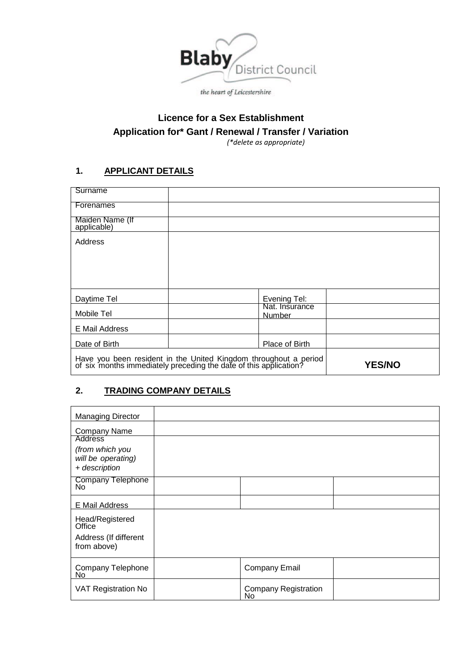

# **Licence for a Sex Establishment Application for\* Gant / Renewal / Transfer / Variation**

*(\*delete as appropriate)*

## **1. APPLICANT DETAILS**

| Surname                                                                                                                            |                                 |               |
|------------------------------------------------------------------------------------------------------------------------------------|---------------------------------|---------------|
| Forenames                                                                                                                          |                                 |               |
| Maiden Name (If<br>applicable)                                                                                                     |                                 |               |
| Address                                                                                                                            |                                 |               |
|                                                                                                                                    |                                 |               |
|                                                                                                                                    |                                 |               |
|                                                                                                                                    |                                 |               |
| Daytime Tel                                                                                                                        | Evening Tel:                    |               |
| Mobile Tel                                                                                                                         | Nat. Insurance<br><b>Number</b> |               |
| E Mail Address                                                                                                                     |                                 |               |
| Date of Birth                                                                                                                      | Place of Birth                  |               |
| Have you been resident in the United Kingdom throughout a period of six months immediately preceding the date of this application? |                                 | <b>YES/NO</b> |

## **2. TRADING COMPANY DETAILS**

| <b>Managing Director</b>              |                                    |  |
|---------------------------------------|------------------------------------|--|
| <b>Company Name</b>                   |                                    |  |
| <b>Address</b>                        |                                    |  |
| (from which you<br>will be operating) |                                    |  |
| + description                         |                                    |  |
| Company Telephone<br>No               |                                    |  |
| E Mail Address                        |                                    |  |
| Head/Registered<br>Office             |                                    |  |
| Address (If different<br>from above)  |                                    |  |
| Company Telephone<br><b>No</b>        | <b>Company Email</b>               |  |
| <b>VAT Registration No</b>            | <b>Company Registration</b><br>No. |  |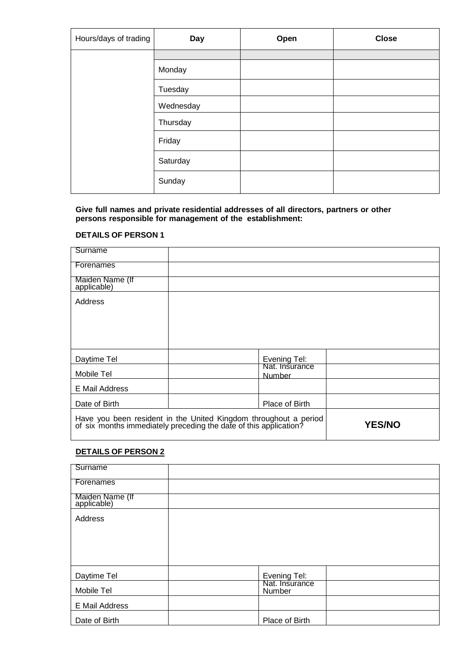| Hours/days of trading | Day       | Open | <b>Close</b> |
|-----------------------|-----------|------|--------------|
|                       |           |      |              |
|                       | Monday    |      |              |
|                       | Tuesday   |      |              |
|                       | Wednesday |      |              |
|                       | Thursday  |      |              |
|                       | Friday    |      |              |
|                       | Saturday  |      |              |
|                       | Sunday    |      |              |

#### **Give full names and private residential addresses of all directors, partners or other persons responsible for management of the establishment:**

#### **DETAILS OF PERSON 1**

| Surname                        |                                                                                                                                    |               |
|--------------------------------|------------------------------------------------------------------------------------------------------------------------------------|---------------|
| Forenames                      |                                                                                                                                    |               |
| Maiden Name (If<br>applicable) |                                                                                                                                    |               |
| Address                        |                                                                                                                                    |               |
|                                |                                                                                                                                    |               |
|                                |                                                                                                                                    |               |
|                                |                                                                                                                                    |               |
| Daytime Tel                    | Evening Tel:                                                                                                                       |               |
| Mobile Tel                     | Nat. Insurance<br><b>Number</b>                                                                                                    |               |
| E Mail Address                 |                                                                                                                                    |               |
| Date of Birth                  | Place of Birth                                                                                                                     |               |
|                                | Have you been resident in the United Kingdom throughout a period of six months immediately preceding the date of this application? | <b>YES/NO</b> |

#### **DETAILS OF PERSON 2**

| Surname                        |                          |  |
|--------------------------------|--------------------------|--|
| Forenames                      |                          |  |
| Maiden Name (If<br>applicable) |                          |  |
| Address                        |                          |  |
|                                |                          |  |
|                                |                          |  |
|                                |                          |  |
| Daytime Tel                    | Evening Tel:             |  |
| Mobile Tel                     | Nat. Insurance<br>Number |  |
| E Mail Address                 |                          |  |
| Date of Birth                  | Place of Birth           |  |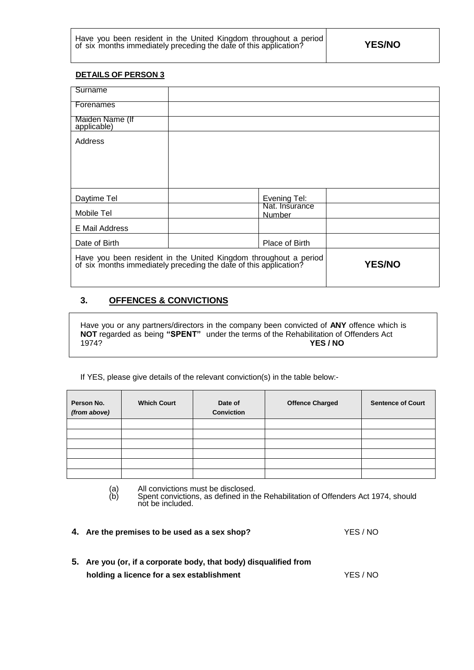| Have you been resident in the United Kingdom throughout a period  |               |
|-------------------------------------------------------------------|---------------|
| of six months immediately preceding the date of this application? | <b>YES/NO</b> |

#### **DETAILS OF PERSON 3**

| Surname                                                                                                                            |                                 |
|------------------------------------------------------------------------------------------------------------------------------------|---------------------------------|
| Forenames                                                                                                                          |                                 |
| Maiden Name (If<br>applicable)                                                                                                     |                                 |
| Address                                                                                                                            |                                 |
|                                                                                                                                    |                                 |
|                                                                                                                                    |                                 |
| Daytime Tel                                                                                                                        | Evening Tel:                    |
| Mobile Tel                                                                                                                         | Nat. Insurance<br><b>Number</b> |
| E Mail Address                                                                                                                     |                                 |
| Date of Birth                                                                                                                      | Place of Birth                  |
| Have you been resident in the United Kingdom throughout a period of six months immediately preceding the date of this application? | <b>YES/NO</b>                   |

### **3. OFFENCES & CONVICTIONS**

Have you or any partners/directors in the company been convicted of **ANY** offence which is **NOT** regarded as being **"SPENT"** under the terms of the Rehabilitation of Offenders Act 1974? **YES / NO**

If YES, please give details of the relevant conviction(s) in the table below:-

| Person No.<br>(from above) | <b>Which Court</b> | Date of<br><b>Conviction</b> | <b>Offence Charged</b> | <b>Sentence of Court</b> |
|----------------------------|--------------------|------------------------------|------------------------|--------------------------|
|                            |                    |                              |                        |                          |
|                            |                    |                              |                        |                          |
|                            |                    |                              |                        |                          |
|                            |                    |                              |                        |                          |
|                            |                    |                              |                        |                          |
|                            |                    |                              |                        |                          |

(a) All convictions must be disclosed.

(b) Spent convictions, as defined in the Rehabilitation of Offenders Act 1974, should not be included.

| 4. Are the premises to be used as a sex shop? | YES / NO |
|-----------------------------------------------|----------|
|                                               |          |

| 5. Are you (or, if a corporate body, that body) disqualified from |        |
|-------------------------------------------------------------------|--------|
| holding a licence for a sex establishment                         | YES/NO |